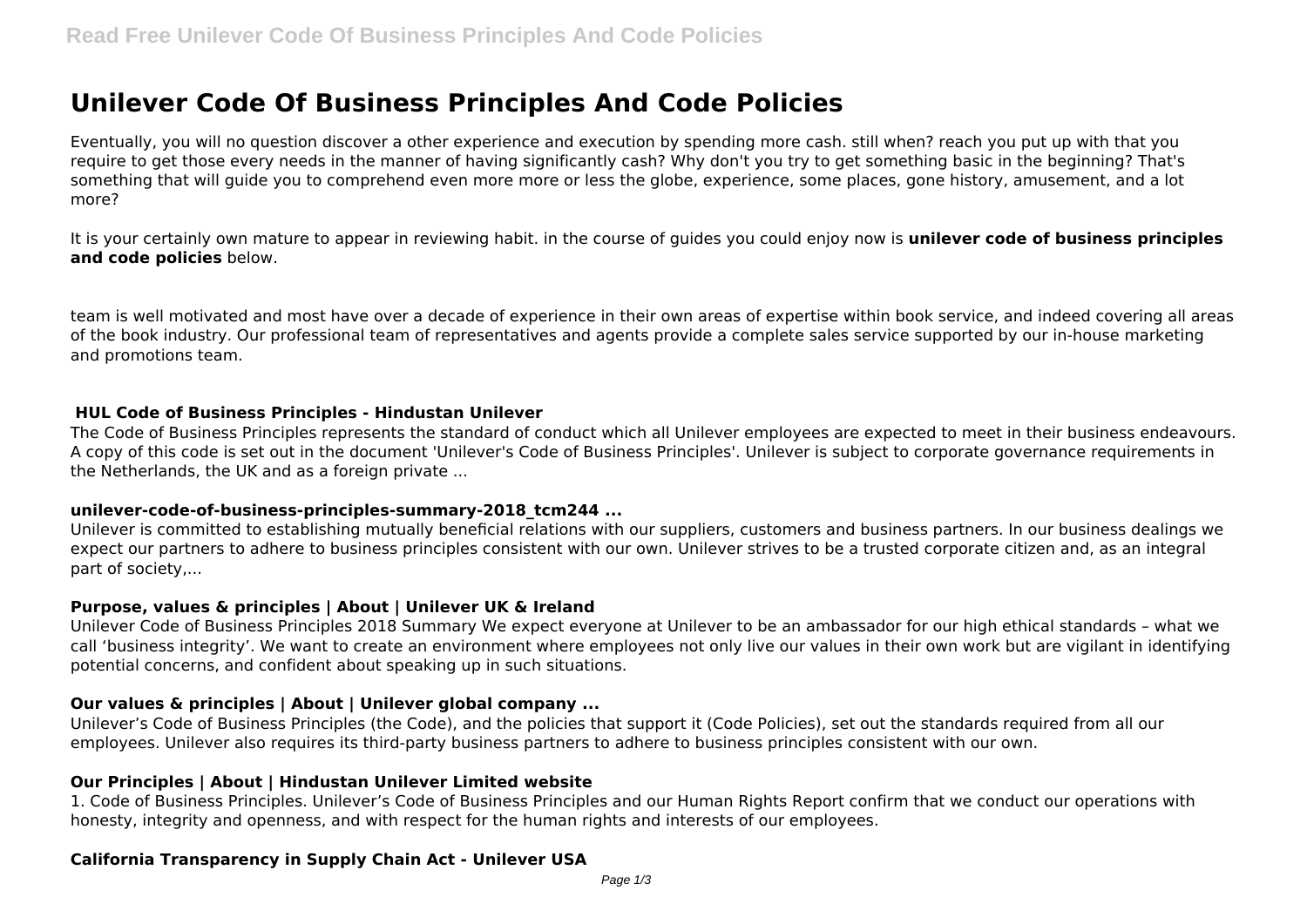# **Unilever Code Of Business Principles And Code Policies**

Eventually, you will no question discover a other experience and execution by spending more cash. still when? reach you put up with that you require to get those every needs in the manner of having significantly cash? Why don't you try to get something basic in the beginning? That's something that will guide you to comprehend even more more or less the globe, experience, some places, gone history, amusement, and a lot more?

It is your certainly own mature to appear in reviewing habit. in the course of guides you could enjoy now is **unilever code of business principles and code policies** below.

team is well motivated and most have over a decade of experience in their own areas of expertise within book service, and indeed covering all areas of the book industry. Our professional team of representatives and agents provide a complete sales service supported by our in-house marketing and promotions team.

#### **HUL Code of Business Principles - Hindustan Unilever**

The Code of Business Principles represents the standard of conduct which all Unilever employees are expected to meet in their business endeavours. A copy of this code is set out in the document 'Unilever's Code of Business Principles'. Unilever is subject to corporate governance requirements in the Netherlands, the UK and as a foreign private ...

#### **unilever-code-of-business-principles-summary-2018\_tcm244 ...**

Unilever is committed to establishing mutually beneficial relations with our suppliers, customers and business partners. In our business dealings we expect our partners to adhere to business principles consistent with our own. Unilever strives to be a trusted corporate citizen and, as an integral part of society,...

#### **Purpose, values & principles | About | Unilever UK & Ireland**

Unilever Code of Business Principles 2018 Summary We expect everyone at Unilever to be an ambassador for our high ethical standards – what we call 'business integrity'. We want to create an environment where employees not only live our values in their own work but are vigilant in identifying potential concerns, and confident about speaking up in such situations.

## **Our values & principles | About | Unilever global company ...**

Unilever's Code of Business Principles (the Code), and the policies that support it (Code Policies), set out the standards required from all our employees. Unilever also requires its third-party business partners to adhere to business principles consistent with our own.

## **Our Principles | About | Hindustan Unilever Limited website**

1. Code of Business Principles. Unilever's Code of Business Principles and our Human Rights Report confirm that we conduct our operations with honesty, integrity and openness, and with respect for the human rights and interests of our employees.

## **California Transparency in Supply Chain Act - Unilever USA**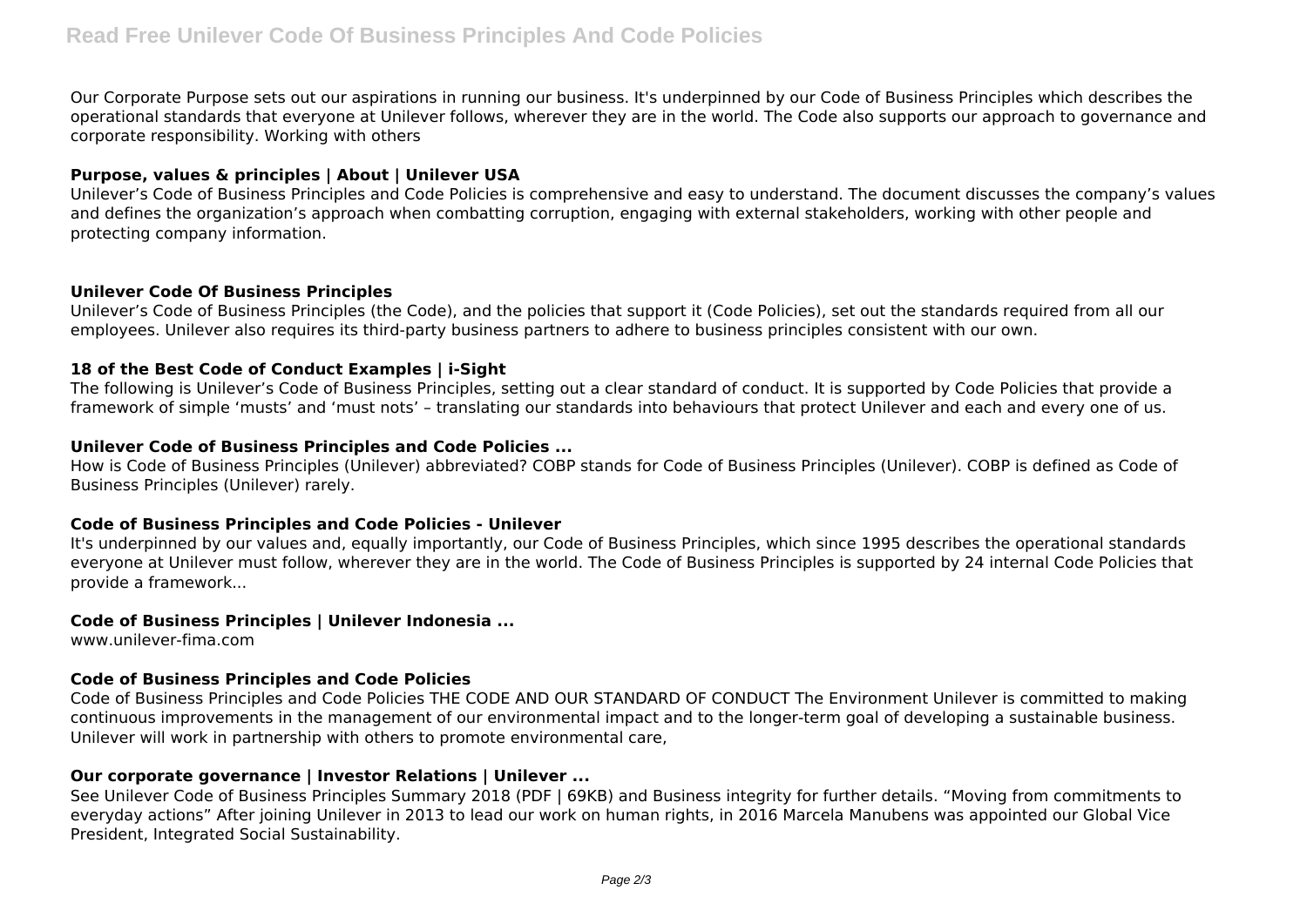Our Corporate Purpose sets out our aspirations in running our business. It's underpinned by our Code of Business Principles which describes the operational standards that everyone at Unilever follows, wherever they are in the world. The Code also supports our approach to governance and corporate responsibility. Working with others

# **Purpose, values & principles | About | Unilever USA**

Unilever's Code of Business Principles and Code Policies is comprehensive and easy to understand. The document discusses the company's values and defines the organization's approach when combatting corruption, engaging with external stakeholders, working with other people and protecting company information.

#### **Unilever Code Of Business Principles**

Unilever's Code of Business Principles (the Code), and the policies that support it (Code Policies), set out the standards required from all our employees. Unilever also requires its third-party business partners to adhere to business principles consistent with our own.

## **18 of the Best Code of Conduct Examples | i-Sight**

The following is Unilever's Code of Business Principles, setting out a clear standard of conduct. It is supported by Code Policies that provide a framework of simple 'musts' and 'must nots' – translating our standards into behaviours that protect Unilever and each and every one of us.

## **Unilever Code of Business Principles and Code Policies ...**

How is Code of Business Principles (Unilever) abbreviated? COBP stands for Code of Business Principles (Unilever). COBP is defined as Code of Business Principles (Unilever) rarely.

## **Code of Business Principles and Code Policies - Unilever**

It's underpinned by our values and, equally importantly, our Code of Business Principles, which since 1995 describes the operational standards everyone at Unilever must follow, wherever they are in the world. The Code of Business Principles is supported by 24 internal Code Policies that provide a framework...

## **Code of Business Principles | Unilever Indonesia ...**

www.unilever-fima.com

## **Code of Business Principles and Code Policies**

Code of Business Principles and Code Policies THE CODE AND OUR STANDARD OF CONDUCT The Environment Unilever is committed to making continuous improvements in the management of our environmental impact and to the longer-term goal of developing a sustainable business. Unilever will work in partnership with others to promote environmental care,

## **Our corporate governance | Investor Relations | Unilever ...**

See Unilever Code of Business Principles Summary 2018 (PDF | 69KB) and Business integrity for further details. "Moving from commitments to everyday actions" After joining Unilever in 2013 to lead our work on human rights, in 2016 Marcela Manubens was appointed our Global Vice President, Integrated Social Sustainability.